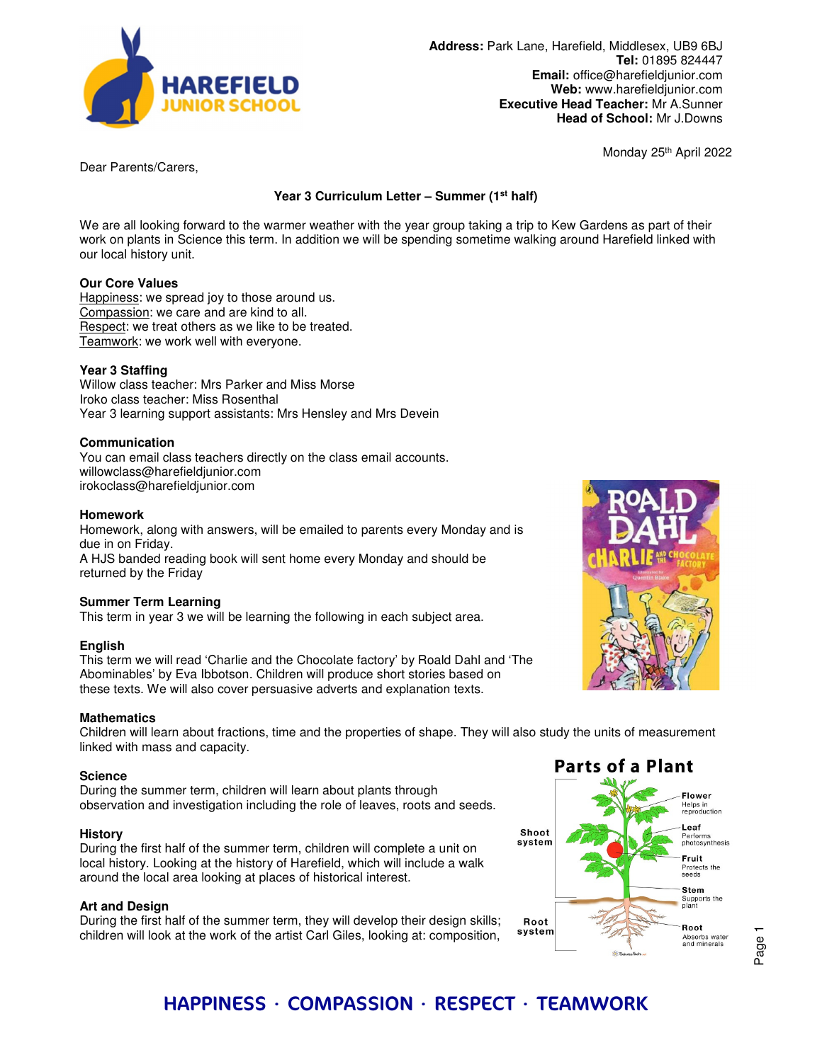

**Address:** Park Lane, Harefield, Middlesex, UB9 6BJ **Tel:** 01895 824447 **Email:** office@harefieldjunior.com **Web:** www.harefieldjunior.com **Executive Head Teacher:** Mr A.Sunner **Head of School:** Mr J.Downs

Monday 25th April 2022

Dear Parents/Carers,

**Year 3 Curriculum Letter – Summer (1st half)** 

We are all looking forward to the warmer weather with the year group taking a trip to Kew Gardens as part of their work on plants in Science this term. In addition we will be spending sometime walking around Harefield linked with our local history unit.

## **Our Core Values**

Happiness: we spread joy to those around us. Compassion: we care and are kind to all. Respect: we treat others as we like to be treated. Teamwork: we work well with everyone.

## **Year 3 Staffing**

Willow class teacher: Mrs Parker and Miss Morse Iroko class teacher: Miss Rosenthal Year 3 learning support assistants: Mrs Hensley and Mrs Devein

#### **Communication**

You can email class teachers directly on the class email accounts. willowclass@harefieldjunior.com irokoclass@harefieldjunior.com

#### **Homework**

Homework, along with answers, will be emailed to parents every Monday and is due in on Friday. A HJS banded reading book will sent home every Monday and should be

returned by the Friday

## **Summer Term Learning**

This term in year 3 we will be learning the following in each subject area.

#### **English**

This term we will read 'Charlie and the Chocolate factory' by Roald Dahl and 'The Abominables' by Eva Ibbotson. Children will produce short stories based on these texts. We will also cover persuasive adverts and explanation texts.

#### **Mathematics**

Children will learn about fractions, time and the properties of shape. They will also study the units of measurement linked with mass and capacity.

#### **Science**

During the summer term, children will learn about plants through observation and investigation including the role of leaves, roots and seeds.

#### **History**

During the first half of the summer term, children will complete a unit on local history. Looking at the history of Harefield, which will include a walk around the local area looking at places of historical interest.

#### **Art and Design**

During the first half of the summer term, they will develop their design skills; children will look at the work of the artist Carl Giles, looking at: composition,





# HAPPINESS ∙ COMPASSION ∙ RESPECT ∙ TEAMWORK